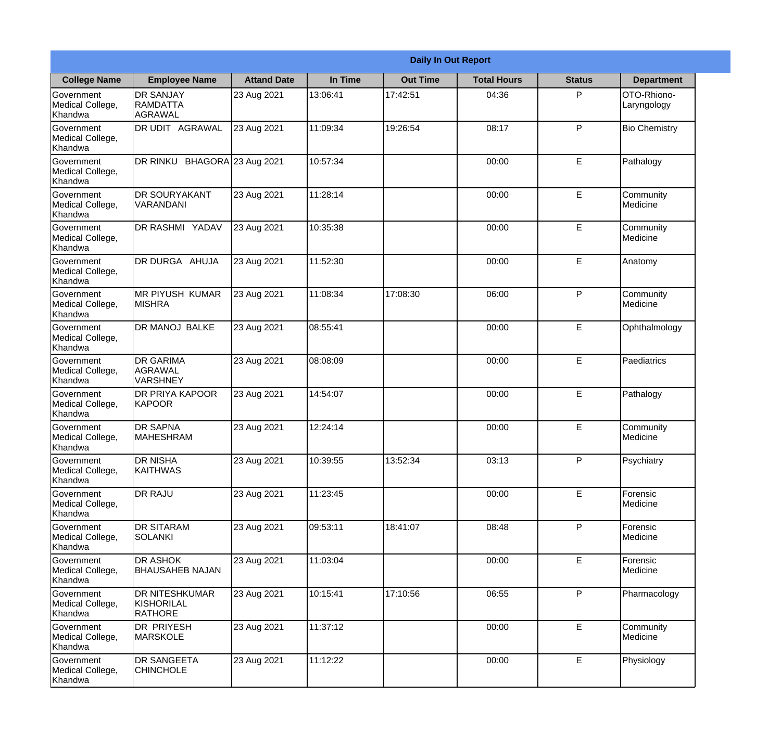|                                                  | <b>Daily In Out Report</b>                            |                    |          |                 |                    |               |                            |  |  |
|--------------------------------------------------|-------------------------------------------------------|--------------------|----------|-----------------|--------------------|---------------|----------------------------|--|--|
| <b>College Name</b>                              | <b>Employee Name</b>                                  | <b>Attand Date</b> | In Time  | <b>Out Time</b> | <b>Total Hours</b> | <b>Status</b> | <b>Department</b>          |  |  |
| Government<br>Medical College,<br>Khandwa        | <b>DR SANJAY</b><br>RAMDATTA<br>AGRAWAL               | 23 Aug 2021        | 13:06:41 | 17:42:51        | 04:36              | P             | OTO-Rhiono-<br>Laryngology |  |  |
| Government<br>Medical College,<br>Khandwa        | <b>DR UDIT AGRAWAL</b>                                | 23 Aug 2021        | 11:09:34 | 19:26:54        | 08:17              | P             | <b>Bio Chemistry</b>       |  |  |
| <b>Government</b><br>Medical College,<br>Khandwa | DR RINKU BHAGORA 23 Aug 2021                          |                    | 10:57:34 |                 | 00:00              | E             | Pathalogy                  |  |  |
| Government<br>Medical College,<br>Khandwa        | <b>DR SOURYAKANT</b><br><b>VARANDANI</b>              | 23 Aug 2021        | 11:28:14 |                 | 00:00              | E             | Community<br>Medicine      |  |  |
| Government<br>Medical College,<br>Khandwa        | <b>DR RASHMI YADAV</b>                                | 23 Aug 2021        | 10:35:38 |                 | 00:00              | E             | Community<br>Medicine      |  |  |
| Government<br>Medical College,<br>Khandwa        | DR DURGA AHUJA                                        | 23 Aug 2021        | 11:52:30 |                 | 00:00              | E             | Anatomy                    |  |  |
| Government<br>Medical College,<br>Khandwa        | <b>MR PIYUSH KUMAR</b><br><b>MISHRA</b>               | 23 Aug 2021        | 11:08:34 | 17:08:30        | 06:00              | P             | Community<br>Medicine      |  |  |
| Government<br>Medical College,<br>Khandwa        | <b>DR MANOJ BALKE</b>                                 | 23 Aug 2021        | 08:55:41 |                 | 00:00              | E             | Ophthalmology              |  |  |
| <b>Government</b><br>Medical College,<br>Khandwa | <b>DR GARIMA</b><br>AGRAWAL<br><b>VARSHNEY</b>        | 23 Aug 2021        | 08:08:09 |                 | 00:00              | E             | Paediatrics                |  |  |
| Government<br>Medical College,<br>Khandwa        | <b>DR PRIYA KAPOOR</b><br>KAPOOR                      | 23 Aug 2021        | 14:54:07 |                 | 00:00              | E             | Pathalogy                  |  |  |
| Government<br>Medical College,<br>Khandwa        | <b>DR SAPNA</b><br><b>MAHESHRAM</b>                   | 23 Aug 2021        | 12:24:14 |                 | 00:00              | E             | Community<br>Medicine      |  |  |
| Government<br>Medical College,<br>Khandwa        | <b>DR NISHA</b><br>KAITHWAS                           | 23 Aug 2021        | 10:39:55 | 13:52:34        | 03:13              | P             | Psychiatry                 |  |  |
| Government<br>Medical College,<br>Khandwa        | <b>DR RAJU</b>                                        | 23 Aug 2021        | 11:23:45 |                 | 00:00              | E             | Forensic<br>Medicine       |  |  |
| Government<br>Medical College,<br>Khandwa        | <b>DR SITARAM</b><br>SOLANKI                          | 23 Aug 2021        | 09:53:11 | 18:41:07        | 08:48              | P             | Forensic<br>Medicine       |  |  |
| Government<br>Medical College,<br>Khandwa        | <b>IDR ASHOK</b><br><b>BHAUSAHEB NAJAN</b>            | 23 Aug 2021        | 11:03:04 |                 | 00:00              | E             | Forensic<br>Medicine       |  |  |
| Government<br>Medical College,<br>Khandwa        | <b>DR NITESHKUMAR</b><br>KISHORILAL<br><b>RATHORE</b> | 23 Aug 2021        | 10:15:41 | 17:10:56        | 06:55              | P             | Pharmacology               |  |  |
| Government<br>Medical College,<br>Khandwa        | <b>DR PRIYESH</b><br>MARSKOLE                         | 23 Aug 2021        | 11:37:12 |                 | 00:00              | E             | Community<br>Medicine      |  |  |
| Government<br>Medical College,<br>Khandwa        | <b>DR SANGEETA</b><br><b>CHINCHOLE</b>                | 23 Aug 2021        | 11:12:22 |                 | 00:00              | E             | Physiology                 |  |  |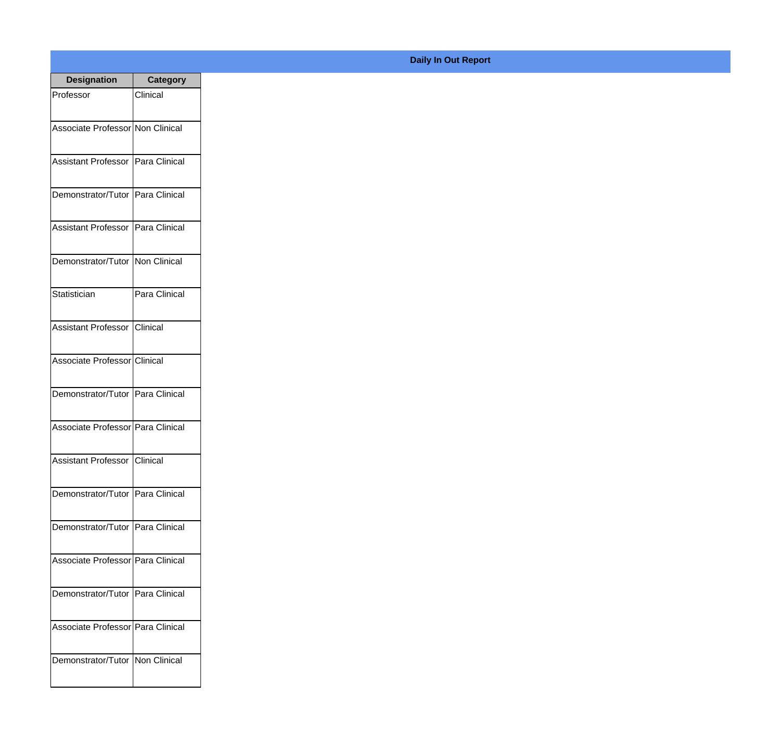| <b>Designation</b>                  | <b>Category</b> |
|-------------------------------------|-----------------|
| Professor                           | Clinical        |
| Associate Professor Non Clinical    |                 |
|                                     |                 |
| Assistant Professor   Para Clinical |                 |
| Demonstrator/Tutor Para Clinical    |                 |
|                                     |                 |
| Assistant Professor   Para Clinical |                 |
|                                     |                 |
| Demonstrator/Tutor Non Clinical     |                 |
| Statistician                        | Para Clinical   |
|                                     |                 |
| Assistant Professor Clinical        |                 |
| Associate Professor Clinical        |                 |
|                                     |                 |
| Demonstrator/Tutor Para Clinical    |                 |
| Associate Professor Para Clinical   |                 |
|                                     |                 |
| Assistant Professor Clinical        |                 |
|                                     |                 |
| Demonstrator/Tutor Para Clinical    |                 |
| Demonstrator/Tutor Para Clinical    |                 |
|                                     |                 |
| Associate Professor Para Clinical   |                 |
| Demonstrator/Tutor Para Clinical    |                 |
|                                     |                 |
| Associate Professor Para Clinical   |                 |
| Demonstrator/Tutor Non Clinical     |                 |
|                                     |                 |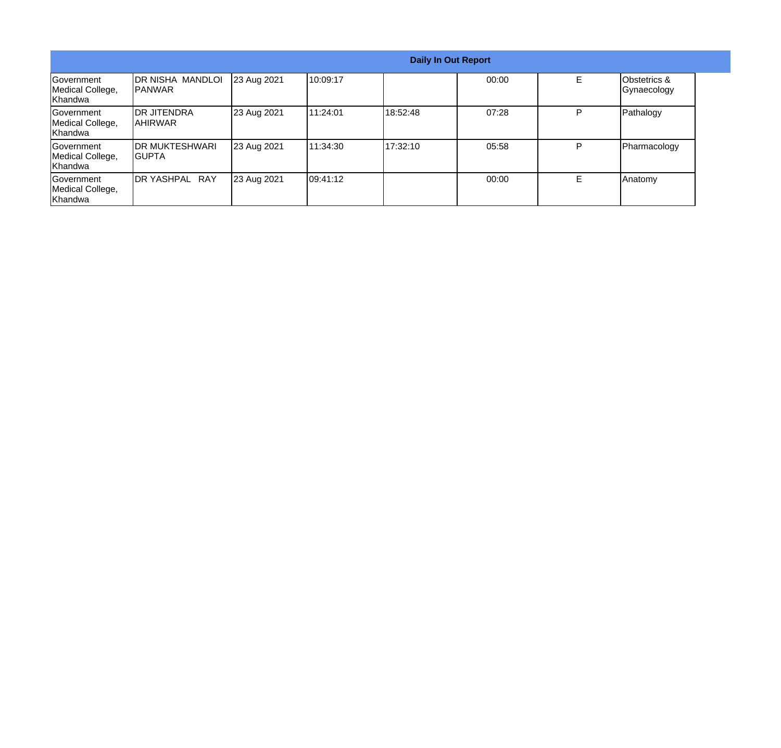| <b>Daily In Out Report</b>                              |                                           |             |           |          |       |   |                                        |
|---------------------------------------------------------|-------------------------------------------|-------------|-----------|----------|-------|---|----------------------------------------|
| Government<br>Medical College,<br><b>Khandwa</b>        | <b>DR NISHA MANDLOI</b><br><b>IPANWAR</b> | 23 Aug 2021 | 10:09:17  |          | 00:00 |   | <b>Obstetrics &amp;</b><br>Gynaecology |
| Government<br>Medical College,<br>IKhandwa              | <b>IDR JITENDRA</b><br>IAHIRWAR           | 23 Aug 2021 | 111:24:01 | 18:52:48 | 07:28 | P | Pathalogy                              |
| <b>Government</b><br>Medical College,<br><b>Khandwa</b> | <b>IDR MUKTESHWARI</b><br>IGUPTA          | 23 Aug 2021 | 11:34:30  | 17:32:10 | 05:58 | P | Pharmacology                           |
| Government<br>Medical College,<br>Khandwa               | DR YASHPAL RAY                            | 23 Aug 2021 | 09:41:12  |          | 00:00 | E | Anatomy                                |